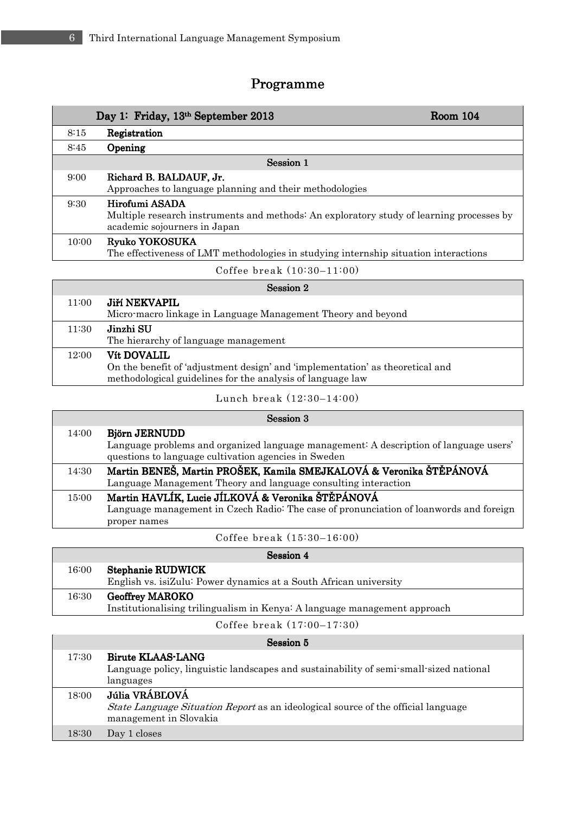Г

## Programme

|           | Day 1: Friday, 13th September 2013                                                                                                         | <b>Room 104</b> |
|-----------|--------------------------------------------------------------------------------------------------------------------------------------------|-----------------|
| 8:15      | Registration                                                                                                                               |                 |
| 8:45      | Opening                                                                                                                                    |                 |
| Session 1 |                                                                                                                                            |                 |
| 9:00      | Richard B. BALDAUF, Jr.<br>Approaches to language planning and their methodologies                                                         |                 |
| 9:30      | Hirofumi ASADA<br>Multiple research instruments and methods: An exploratory study of learning processes by<br>academic sojourners in Japan |                 |
| 10:00     | Ryuko YOKOSUKA<br>The effectiveness of LMT methodologies in studying internship situation interactions                                     |                 |
|           |                                                                                                                                            |                 |

Coffee break (10:30–11:00)

| Session 2 |                                                                               |
|-----------|-------------------------------------------------------------------------------|
| 11:00     | Jiří NEKVAPIL                                                                 |
|           | Micro-macro linkage in Language Management Theory and beyond                  |
| 11:30     | Jinzhi SU                                                                     |
|           | The hierarchy of language management                                          |
| 12:00     | <b>Vít DOVALIL</b>                                                            |
|           | On the benefit of 'adjustment design' and 'implementation' as theoretical and |
|           | methodological guidelines for the analysis of language law                    |

Lunch break (12:30–14:00)

|       | Session 3                                                                                                                                                      |
|-------|----------------------------------------------------------------------------------------------------------------------------------------------------------------|
| 14:00 | Björn JERNUDD<br>Language problems and organized language management: A description of language users'<br>questions to language cultivation agencies in Sweden |
| 14:30 | Martin BENEŠ, Martin PROŠEK, Kamila SMEJKALOVÁ & Veronika ŠTĚPÁNOVÁ<br>Language Management Theory and language consulting interaction                          |
| 15:00 | Martin HAVLÍK, Lucie JÍLKOVÁ & Veronika ŠTĚPÁNOVÁ<br>Language management in Czech Radio: The case of pronunciation of loanwords and foreign<br>proper names    |
|       |                                                                                                                                                                |

Coffee break (15:30–16:00)

|       | Session 4                                                                 |
|-------|---------------------------------------------------------------------------|
| 16:00 | Stephanie RUDWICK                                                         |
|       | English vs. isiZulu: Power dynamics at a South African university         |
| 16:30 | <b>Geoffrey MAROKO</b>                                                    |
|       | Institutionalising trilingualism in Kenya: A language management approach |
|       |                                                                           |

Coffee break (17:00–17:30)

|       | Session 5                                                                                                                            |
|-------|--------------------------------------------------------------------------------------------------------------------------------------|
| 17:30 | Birute KLAAS-LANG<br>Language policy, linguistic landscapes and sustainability of semi-small-sized national<br>languages             |
| 18:00 | Júlia VRÁBLOVÁ<br><i>State Language Situation Report</i> as an ideological source of the official language<br>management in Slovakia |
| 18:30 | Day 1 closes                                                                                                                         |